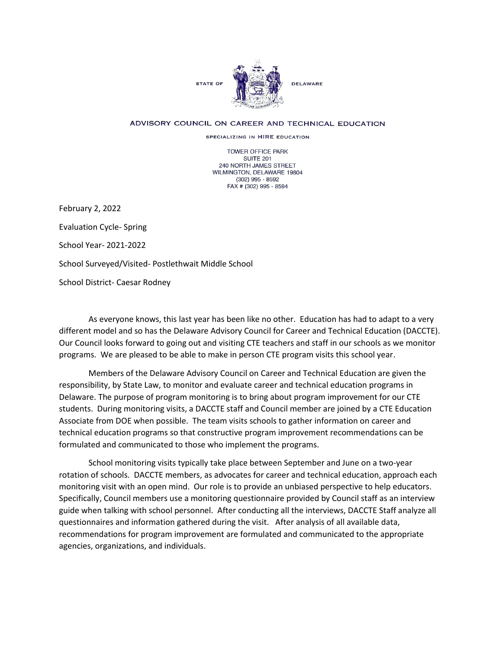

## ADVISORY COUNCIL ON CAREER AND TECHNICAL EDUCATION

SPECIALIZING IN HIRE EDUCATION

TOWER OFFICE PARK SUITE 201 240 NORTH JAMES STREET WILMINGTON, DELAWARE 19804 (302) 995 - 8592 FAX # (302) 995 - 8594

February 2, 2022 Evaluation Cycle- Spring School Year- 2021-2022 School Surveyed/Visited- Postlethwait Middle School School District- Caesar Rodney

As everyone knows, this last year has been like no other. Education has had to adapt to a very different model and so has the Delaware Advisory Council for Career and Technical Education (DACCTE). Our Council looks forward to going out and visiting CTE teachers and staff in our schools as we monitor programs. We are pleased to be able to make in person CTE program visits this school year.

Members of the Delaware Advisory Council on Career and Technical Education are given the responsibility, by State Law, to monitor and evaluate career and technical education programs in Delaware. The purpose of program monitoring is to bring about program improvement for our CTE students. During monitoring visits, a DACCTE staff and Council member are joined by a CTE Education Associate from DOE when possible. The team visits schools to gather information on career and technical education programs so that constructive program improvement recommendations can be formulated and communicated to those who implement the programs.

School monitoring visits typically take place between September and June on a two-year rotation of schools. DACCTE members, as advocates for career and technical education, approach each monitoring visit with an open mind. Our role is to provide an unbiased perspective to help educators. Specifically, Council members use a monitoring questionnaire provided by Council staff as an interview guide when talking with school personnel. After conducting all the interviews, DACCTE Staff analyze all questionnaires and information gathered during the visit. After analysis of all available data, recommendations for program improvement are formulated and communicated to the appropriate agencies, organizations, and individuals.